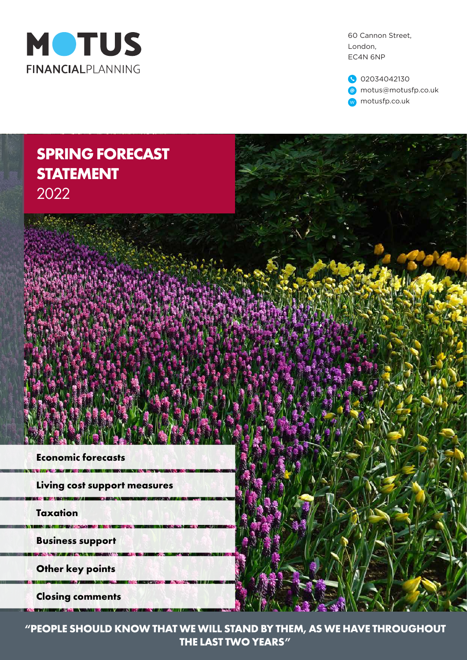

60 Cannon Street, London, EC4N 6NP

02034042130 motus@motusfp.co.uk w motusfp.co.uk

# **SPRING FORECAST STATEMENT** 2022



**CONTRACTOR** 

**Living cost support measures**

**Taxation**

*<u>INSTRUCTION</u>* 

**Business support**

**BUT IN WARDS AND LONG** 

**Other key points**

**Closing comments** *<u>CARD AND AN WHICH IS NO*</u>



**"PEOPLE SHOULD KNOW THAT WE WILL STAND BY THEM, AS WE HAVE THROUGHOUT THE LAST TWO YEARS"**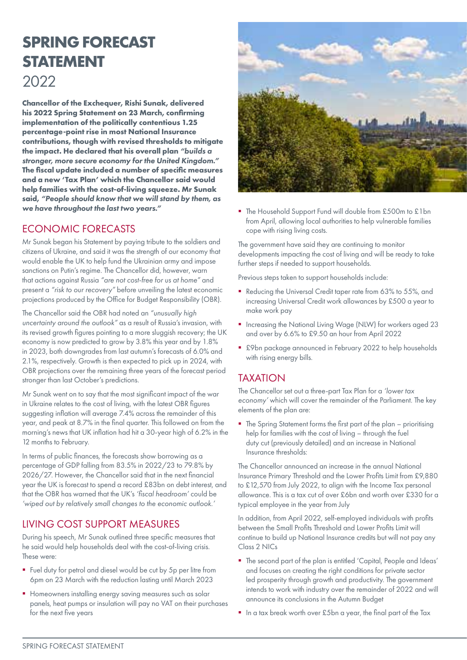# **SPRING FORECAST STATEMENT** 2022

**Chancellor of the Exchequer, Rishi Sunak, delivered his 2022 Spring Statement on 23 March, confirming implementation of the politically contentious 1.25 percentage-point rise in most National Insurance contributions, though with revised thresholds to mitigate the impact. He declared that his overall plan** *"builds a stronger, more secure economy for the United Kingdom."* **The fiscal update included a number of specific measures and a new 'Tax Plan' which the Chancellor said would help families with the cost-of-living squeeze. Mr Sunak said,** *"People should know that we will stand by them, as we have throughout the last two years."*

## ECONOMIC FORECASTS

Mr Sunak began his Statement by paying tribute to the soldiers and citizens of Ukraine, and said it was the strength of our economy that would enable the UK to help fund the Ukrainian army and impose sanctions on Putin's regime. The Chancellor did, however, warn that actions against Russia *"are not cost-free for us at home"* and present a *"risk to our recovery"* before unveiling the latest economic projections produced by the Office for Budget Responsibility (OBR).

The Chancellor said the OBR had noted an *"unusually high uncertainty around the outlook"* as a result of Russia's invasion, with its revised growth figures pointing to a more sluggish recovery; the UK economy is now predicted to grow by 3.8% this year and by 1.8% in 2023, both downgrades from last autumn's forecasts of 6.0% and 2.1%, respectively. Growth is then expected to pick up in 2024, with OBR projections over the remaining three years of the forecast period stronger than last October's predictions.

Mr Sunak went on to say that the most significant impact of the war in Ukraine relates to the cost of living, with the latest OBR figures suggesting inflation will average 7.4% across the remainder of this year, and peak at 8.7% in the final quarter. This followed on from the morning's news that UK inflation had hit a 30-year high of 6.2% in the 12 months to February.

In terms of public finances, the forecasts show borrowing as a percentage of GDP falling from 83.5% in 2022/23 to 79.8% by 2026/27. However, the Chancellor said that in the next financial year the UK is forecast to spend a record £83bn on debt interest, and that the OBR has warned that the UK's *'fiscal headroom'* could be *'wiped out by relatively small changes to the economic outlook.'*

## LIVING COST SUPPORT MEASURES

During his speech, Mr Sunak outlined three specific measures that he said would help households deal with the cost-of-living crisis. These were:

- Fuel duty for petrol and diesel would be cut by 5p per litre from 6pm on 23 March with the reduction lasting until March 2023
- Homeowners installing energy saving measures such as solar panels, heat pumps or insulation will pay no VAT on their purchases for the next five years



■ The Household Support Fund will double from £500m to £1bn from April, allowing local authorities to help vulnerable families cope with rising living costs.

The government have said they are continuing to monitor developments impacting the cost of living and will be ready to take further steps if needed to support households.

Previous steps taken to support households include:

- Reducing the Universal Credit taper rate from 63% to 55%, and increasing Universal Credit work allowances by £500 a year to make work pay
- **Increasing the National Living Wage (NLW) for workers aged 23** and over by 6.6% to £9.50 an hour from April 2022
- £9bn package announced in February 2022 to help households with rising energy bills.

## TAXATION

The Chancellor set out a three-part Tax Plan for a *'lower tax economy'* which will cover the remainder of the Parliament. The key elements of the plan are:

• The Spring Statement forms the first part of the plan – prioritising help for families with the cost of living – through the fuel duty cut (previously detailed) and an increase in National Insurance thresholds:

The Chancellor announced an increase in the annual National Insurance Primary Threshold and the Lower Profits Limit from £9,880 to £12,570 from July 2022, to align with the Income Tax personal allowance. This is a tax cut of over £6bn and worth over £330 for a typical employee in the year from July

In addition, from April 2022, self-employed individuals with profits between the Small Profits Threshold and Lower Profits Limit will continue to build up National Insurance credits but will not pay any Class 2 NICs

- The second part of the plan is entitled 'Capital, People and Ideas' and focuses on creating the right conditions for private sector led prosperity through growth and productivity. The government intends to work with industry over the remainder of 2022 and will announce its conclusions in the Autumn Budget
- In a tax break worth over £5bn a year, the final part of the Tax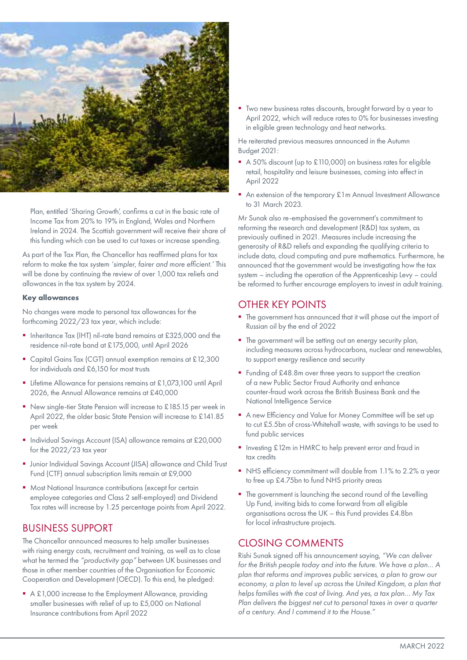

Plan, entitled 'Sharing Growth', confirms a cut in the basic rate of Income Tax from 20% to 19% in England, Wales and Northern Ireland in 2024. The Scottish government will receive their share of this funding which can be used to cut taxes or increase spending.

As part of the Tax Plan, the Chancellor has reaffirmed plans for tax reform to make the tax system *'simpler, fairer and more efficient.'* This will be done by continuing the review of over 1,000 tax reliefs and allowances in the tax system by 2024.

#### **Key allowances**

No changes were made to personal tax allowances for the forthcoming 2022/23 tax year, which include:

- **Inheritance Tax (IHT) nil-rate band remains at £325,000 and the** residence nil-rate band at £175,000, until April 2026
- Capital Gains Tax (CGT) annual exemption remains at £12,300 for individuals and £6,150 for most trusts
- Lifetime Allowance for pensions remains at £1,073,100 until April 2026, the Annual Allowance remains at £40,000
- New single-tier State Pension will increase to £185.15 per week in April 2022, the older basic State Pension will increase to £141.85 per week
- Individual Savings Account (ISA) allowance remains at £20,000 for the 2022/23 tax year
- **Junior Individual Savings Account (JISA) allowance and Child Trust** Fund (CTF) annual subscription limits remain at £9,000
- **Most National Insurance contributions (except for certain** employee categories and Class 2 self-employed) and Dividend Tax rates will increase by 1.25 percentage points from April 2022.

#### BUSINESS SUPPORT

The Chancellor announced measures to help smaller businesses with rising energy costs, recruitment and training, as well as to close what he termed the *"productivity gap"* between UK businesses and those in other member countries of the Organisation for Economic Cooperation and Development (OECD). To this end, he pledged:

A £1,000 increase to the Employment Allowance, providing smaller businesses with relief of up to £5,000 on National Insurance contributions from April 2022

■ Two new business rates discounts, brought forward by a year to April 2022, which will reduce rates to 0% for businesses investing in eligible green technology and heat networks.

He reiterated previous measures announced in the Autumn Budget 2021:

- A 50% discount (up to £110,000) on business rates for eligible retail, hospitality and leisure businesses, coming into effect in April 2022
- An extension of the temporary £1m Annual Investment Allowance to 31 March 2023.

Mr Sunak also re-emphasised the government's commitment to reforming the research and development (R&D) tax system, as previously outlined in 2021. Measures include increasing the generosity of R&D reliefs and expanding the qualifying criteria to include data, cloud computing and pure mathematics. Furthermore, he announced that the government would be investigating how the tax system – including the operation of the Apprenticeship Levy – could be reformed to further encourage employers to invest in adult training.

#### OTHER KEY POINTS

- The government has announced that it will phase out the import of Russian oil by the end of 2022
- **The government will be setting out an energy security plan,** including measures across hydrocarbons, nuclear and renewables, to support energy resilience and security
- Funding of £48.8m over three years to support the creation of a new Public Sector Fraud Authority and enhance counter-fraud work across the British Business Bank and the National Intelligence Service
- A new Efficiency and Value for Money Committee will be set up to cut £5.5bn of cross-Whitehall waste, with savings to be used to fund public services
- **Investing £12m in HMRC to help prevent error and fraud in** tax credits
- NHS efficiency commitment will double from 1.1% to 2.2% a year to free up £4.75bn to fund NHS priority areas
- The government is launching the second round of the Levelling Up Fund, inviting bids to come forward from all eligible organisations across the UK – this Fund provides £4.8bn for local infrastructure projects.

#### CLOSING COMMENTS

Rishi Sunak signed off his announcement saying, *"We can deliver for the British people today and into the future. We have a plan… A plan that reforms and improves public services, a plan to grow our economy, a plan to level up across the United Kingdom, a plan that helps families with the cost of living. And yes, a tax plan… My Tax Plan delivers the biggest net cut to personal taxes in over a quarter of a century. And I commend it to the House."*